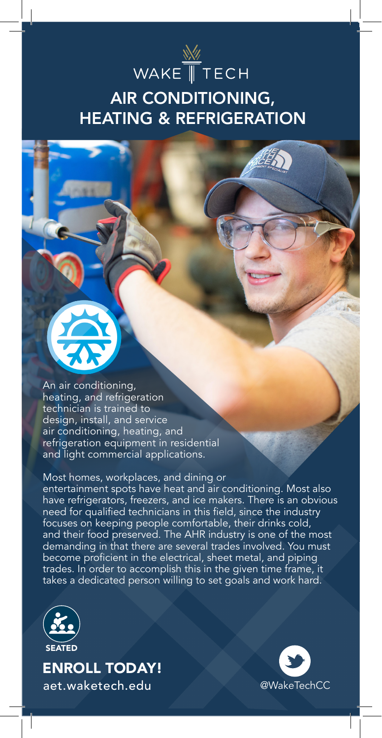

## AIR CONDITIONING, HEATING & REFRIGERATION



#### Most homes, workplaces, and dining or

entertainment spots have heat and air conditioning. Most also have refrigerators, freezers, and ice makers. There is an obvious need for qualified technicians in this field, since the industry focuses on keeping people comfortable, their drinks cold, and their food preserved. The AHR industry is one of the most demanding in that there are several trades involved. You must become proficient in the electrical, sheet metal, and piping trades. In order to accomplish this in the given time frame, it takes a dedicated person willing to set goals and work hard.



ENROLL TODAY! aet.waketech.edu @WakeTechCC